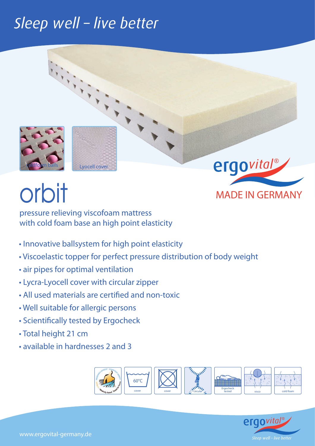### Sleep well - live better



Lyocell cover

# Orbit MADE IN GERMANY

pressure relieving viscofoam mattress with cold foam base an high point elasticity

- Innovative ballsystem for high point elasticity
- Viscoelastic topper for perfect pressure distribution of body weight
- air pipes for optimal ventilation
- Lycra-Lyocell cover with circular zipper
- All used materials are certified and non-toxic
- Well suitable for allergic persons
- Scientifically tested by Ergocheck
- Total height 21 cm
- available in hardnesses 2 and 3





ergovital®